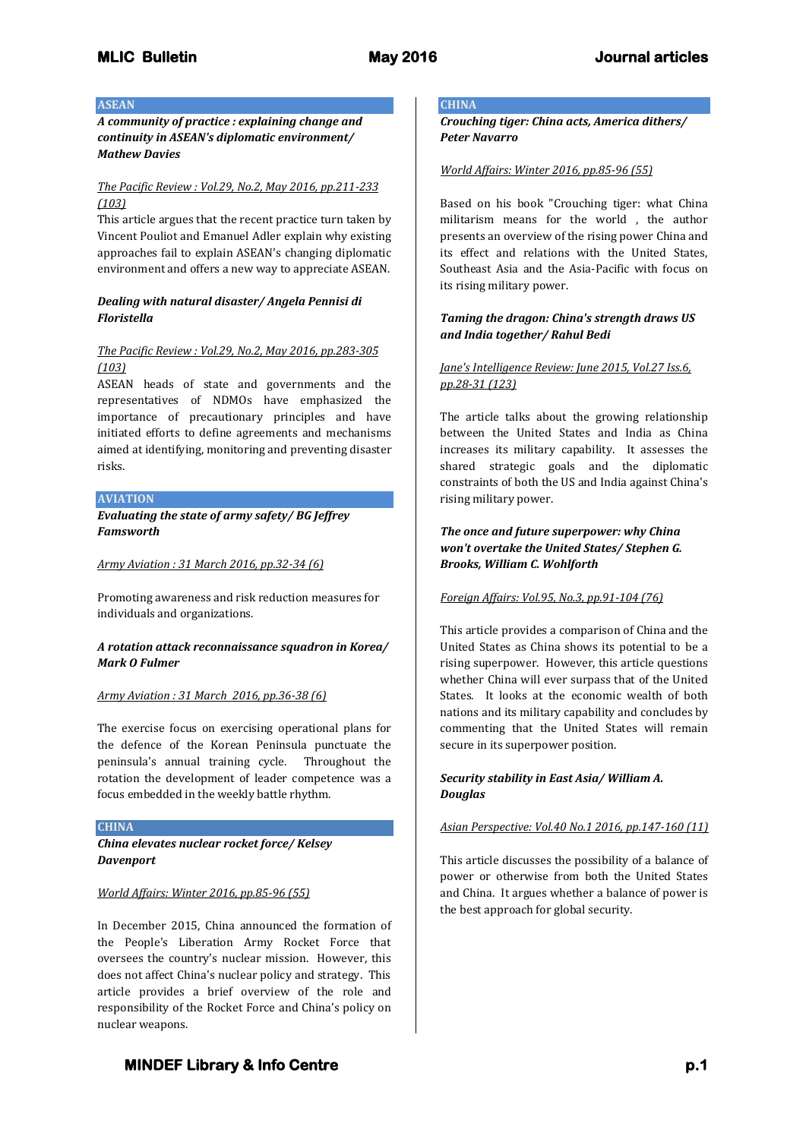#### **ASEAN**

*A community of practice : explaining change and continuity in ASEAN's diplomatic environment/ Mathew Davies*

#### *The Pacific Review : Vol.29, No.2, May 2016, pp.211-233 (103)*

This article argues that the recent practice turn taken by Vincent Pouliot and Emanuel Adler explain why existing approaches fail to explain ASEAN's changing diplomatic environment and offers a new way to appreciate ASEAN.

## *Dealing with natural disaster/ Angela Pennisi di Floristella*

## *The Pacific Review : Vol.29, No.2, May 2016, pp.283-305 (103)*

ASEAN heads of state and governments and the representatives of NDMOs have emphasized the importance of precautionary principles and have initiated efforts to define agreements and mechanisms aimed at identifying, monitoring and preventing disaster risks.

## **AVIATION**

*Evaluating the state of army safety/ BG Jeffrey Famsworth*

#### *Army Aviation : 31 March 2016, pp.32-34 (6)*

Promoting awareness and risk reduction measures for individuals and organizations.

## *A rotation attack reconnaissance squadron in Korea/ Mark O Fulmer*

## *Army Aviation : 31 March 2016, pp.36-38 (6)*

The exercise focus on exercising operational plans for the defence of the Korean Peninsula punctuate the peninsula's annual training cycle. Throughout the rotation the development of leader competence was a focus embedded in the weekly battle rhythm.

#### **CHINA**

*China elevates nuclear rocket force/ Kelsey Davenport*

## *World Affairs: Winter 2016, pp.85-96 (55)*

In December 2015, China announced the formation of the People's Liberation Army Rocket Force that oversees the country's nuclear mission. However, this does not affect China's nuclear policy and strategy. This article provides a brief overview of the role and responsibility of the Rocket Force and China's policy on nuclear weapons.

## **CHINA**

*Crouching tiger: China acts, America dithers/ Peter Navarro*

#### *World Affairs: Winter 2016, pp.85-96 (55)*

Based on his book "Crouching tiger: what China militarism means for the world , the author presents an overview of the rising power China and its effect and relations with the United States, Southeast Asia and the Asia-Pacific with focus on its rising military power.

## *Taming the dragon: China's strength draws US and India together/ Rahul Bedi*

## *Jane's Intelligence Review: June 2015, Vol.27 Iss.6, pp.28-31 (123)*

The article talks about the growing relationship between the United States and India as China increases its military capability. It assesses the shared strategic goals and the diplomatic constraints of both the US and India against China's rising military power.

## *The once and future superpower: why China won't overtake the United States/ Stephen G. Brooks, William C. Wohlforth*

## *Foreign Affairs: Vol.95, No.3, pp.91-104 (76)*

This article provides a comparison of China and the United States as China shows its potential to be a rising superpower. However, this article questions whether China will ever surpass that of the United States. It looks at the economic wealth of both nations and its military capability and concludes by commenting that the United States will remain secure in its superpower position.

## *Security stability in East Asia/ William A. Douglas*

## *Asian Perspective: Vol.40 No.1 2016, pp.147-160 (11)*

This article discusses the possibility of a balance of power or otherwise from both the United States and China. It argues whether a balance of power is the best approach for global security.

# **MINDEF Library & Info Centre p.1**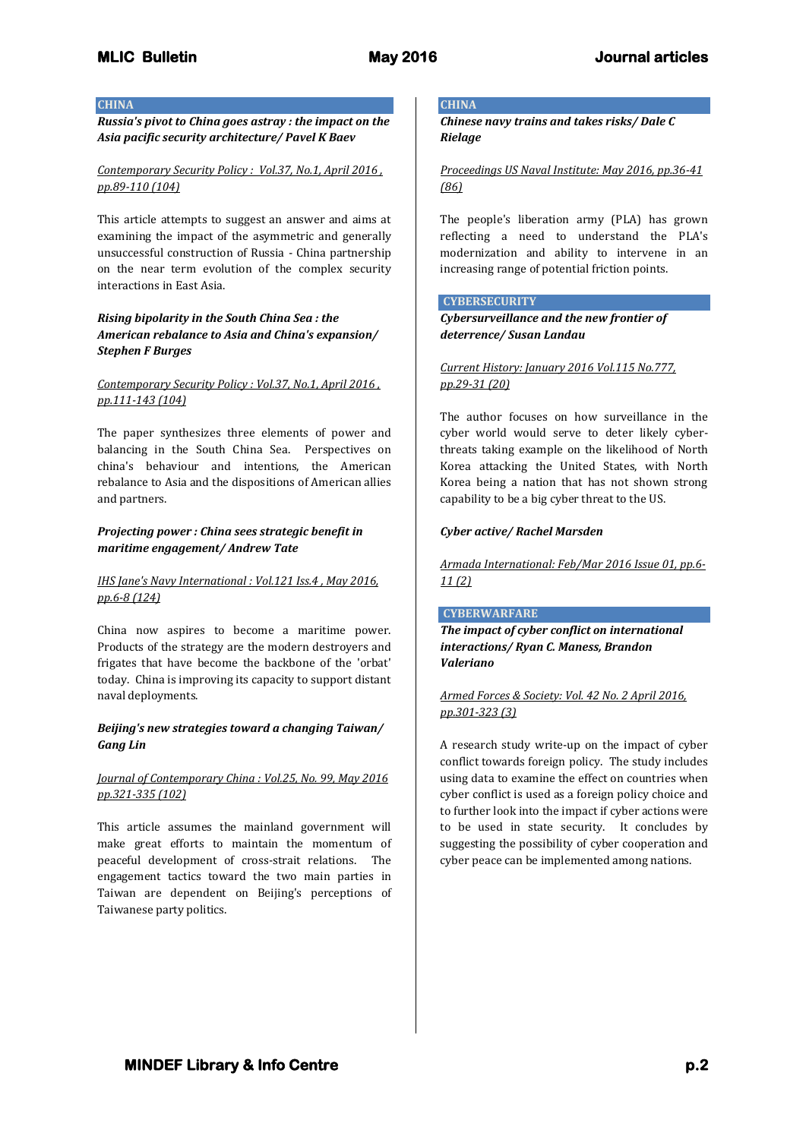#### **CHINA**

*Russia's pivot to China goes astray : the impact on the Asia pacific security architecture/ Pavel K Baev*

## *Contemporary Security Policy : Vol.37, No.1, April 2016 , pp.89-110 (104)*

This article attempts to suggest an answer and aims at examining the impact of the asymmetric and generally unsuccessful construction of Russia - China partnership on the near term evolution of the complex security interactions in East Asia.

## *Rising bipolarity in the South China Sea : the American rebalance to Asia and China's expansion/ Stephen F Burges*

## *Contemporary Security Policy : Vol.37, No.1, April 2016 , pp.111-143 (104)*

The paper synthesizes three elements of power and balancing in the South China Sea. Perspectives on china's behaviour and intentions, the American rebalance to Asia and the dispositions of American allies and partners.

## *Projecting power : China sees strategic benefit in maritime engagement/ Andrew Tate*

## *IHS Jane's Navy International : Vol.121 Iss.4 , May 2016, pp.6-8 (124)*

China now aspires to become a maritime power. Products of the strategy are the modern destroyers and frigates that have become the backbone of the 'orbat' today. China is improving its capacity to support distant naval deployments.

## *Beijing's new strategies toward a changing Taiwan/ Gang Lin*

## *Journal of Contemporary China : Vol.25, No. 99, May 2016 pp.321-335 (102)*

This article assumes the mainland government will make great efforts to maintain the momentum of peaceful development of cross-strait relations. The engagement tactics toward the two main parties in Taiwan are dependent on Beijing's perceptions of Taiwanese party politics.

## **CHINA**

*Chinese navy trains and takes risks/ Dale C Rielage*

*Proceedings US Naval Institute: May 2016, pp.36-41 (86)*

The people's liberation army (PLA) has grown reflecting a need to understand the PLA's modernization and ability to intervene in an increasing range of potential friction points.

## **CYBERSECURITY**

*Cybersurveillance and the new frontier of deterrence/ Susan Landau*

*Current History: January 2016 Vol.115 No.777, pp.29-31 (20)*

The author focuses on how surveillance in the cyber world would serve to deter likely cyberthreats taking example on the likelihood of North Korea attacking the United States, with North Korea being a nation that has not shown strong capability to be a big cyber threat to the US.

## *Cyber active/ Rachel Marsden*

*Armada International: Feb/Mar 2016 Issue 01, pp.6- 11 (2)* 

## **CYBERWARFARE**

*The impact of cyber conflict on international interactions/ Ryan C. Maness, Brandon Valeriano*

*Armed Forces & Society: Vol. 42 No. 2 April 2016, pp.301-323 (3)*

A research study write-up on the impact of cyber conflict towards foreign policy. The study includes using data to examine the effect on countries when cyber conflict is used as a foreign policy choice and to further look into the impact if cyber actions were to be used in state security. It concludes by suggesting the possibility of cyber cooperation and cyber peace can be implemented among nations.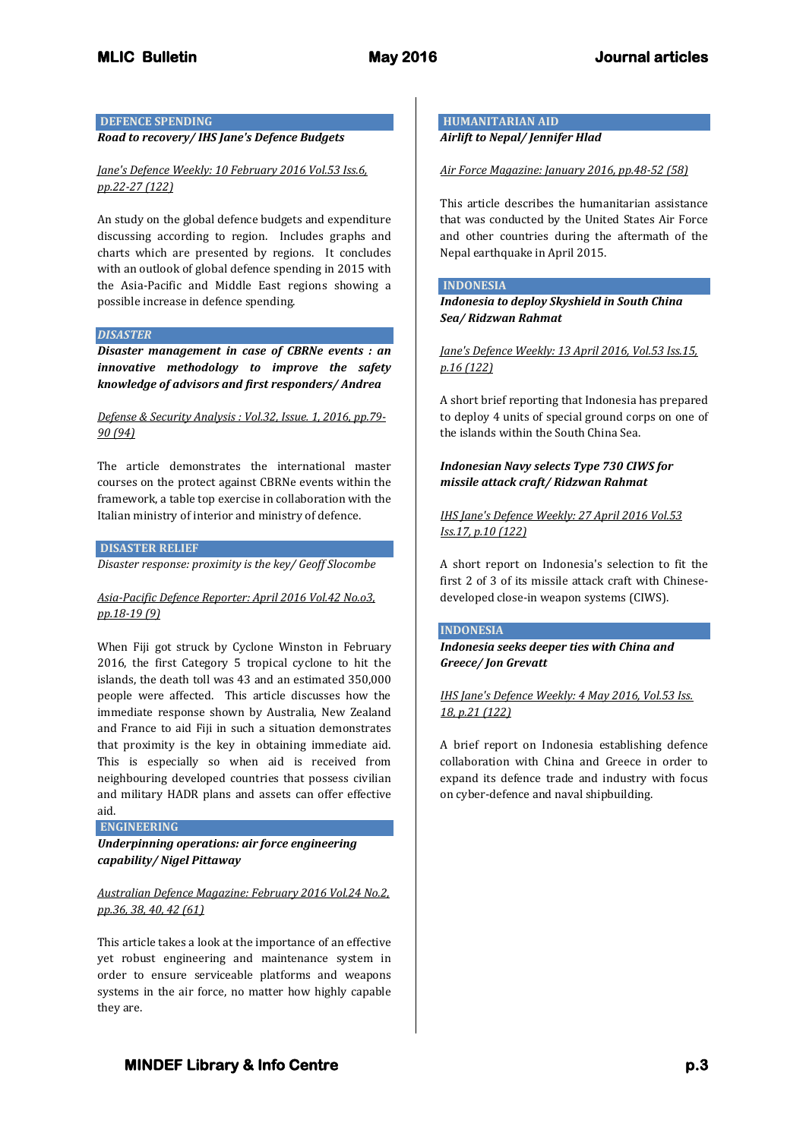## **DEFENCE SPENDING**

*Road to recovery/ IHS Jane's Defence Budgets*

#### *Jane's Defence Weekly: 10 February 2016 Vol.53 Iss.6, pp.22-27 (122)*

An study on the global defence budgets and expenditure discussing according to region. Includes graphs and charts which are presented by regions. It concludes with an outlook of global defence spending in 2015 with the Asia-Pacific and Middle East regions showing a possible increase in defence spending.

#### *DISASTER*

*Disaster management in case of CBRNe events : an innovative methodology to improve the safety knowledge of advisors and first responders/ Andrea* 

## *Defense & Security Analysis : Vol.32, Issue. 1, 2016, pp.79- 90 (94)*

The article demonstrates the international master courses on the protect against CBRNe events within the framework, a table top exercise in collaboration with the Italian ministry of interior and ministry of defence.

#### **DISASTER RELIEF**

*Disaster response: proximity is the key/ Geoff Slocombe*

#### *Asia-Pacific Defence Reporter: April 2016 Vol.42 No.o3, pp.18-19 (9)*

When Fiji got struck by Cyclone Winston in February 2016, the first Category 5 tropical cyclone to hit the islands, the death toll was 43 and an estimated 350,000 people were affected. This article discusses how the immediate response shown by Australia, New Zealand and France to aid Fiji in such a situation demonstrates that proximity is the key in obtaining immediate aid. This is especially so when aid is received from neighbouring developed countries that possess civilian and military HADR plans and assets can offer effective aid.

**ENGINEERING** 

*Underpinning operations: air force engineering capability/ Nigel Pittaway*

## *Australian Defence Magazine: February 2016 Vol.24 No.2, pp.36, 38, 40, 42 (61)*

This article takes a look at the importance of an effective yet robust engineering and maintenance system in order to ensure serviceable platforms and weapons systems in the air force, no matter how highly capable they are.

**HUMANITARIAN AID**  *Airlift to Nepal/ Jennifer Hlad*

#### *Air Force Magazine: January 2016, pp.48-52 (58)*

This article describes the humanitarian assistance that was conducted by the United States Air Force and other countries during the aftermath of the Nepal earthquake in April 2015.

#### **INDONESIA**

*Indonesia to deploy Skyshield in South China Sea/ Ridzwan Rahmat*

*Jane's Defence Weekly: 13 April 2016, Vol.53 Iss.15, p.16 (122)*

A short brief reporting that Indonesia has prepared to deploy 4 units of special ground corps on one of the islands within the South China Sea.

## *Indonesian Navy selects Type 730 CIWS for missile attack craft/ Ridzwan Rahmat*

## *IHS Jane's Defence Weekly: 27 April 2016 Vol.53 Iss.17, p.10 (122)*

A short report on Indonesia's selection to fit the first 2 of 3 of its missile attack craft with Chinesedeveloped close-in weapon systems (CIWS).

## **INDONESIA**

## *Indonesia seeks deeper ties with China and Greece/ Jon Grevatt*

*IHS Jane's Defence Weekly: 4 May 2016, Vol.53 Iss. 18, p.21 (122)* 

A brief report on Indonesia establishing defence collaboration with China and Greece in order to expand its defence trade and industry with focus on cyber-defence and naval shipbuilding.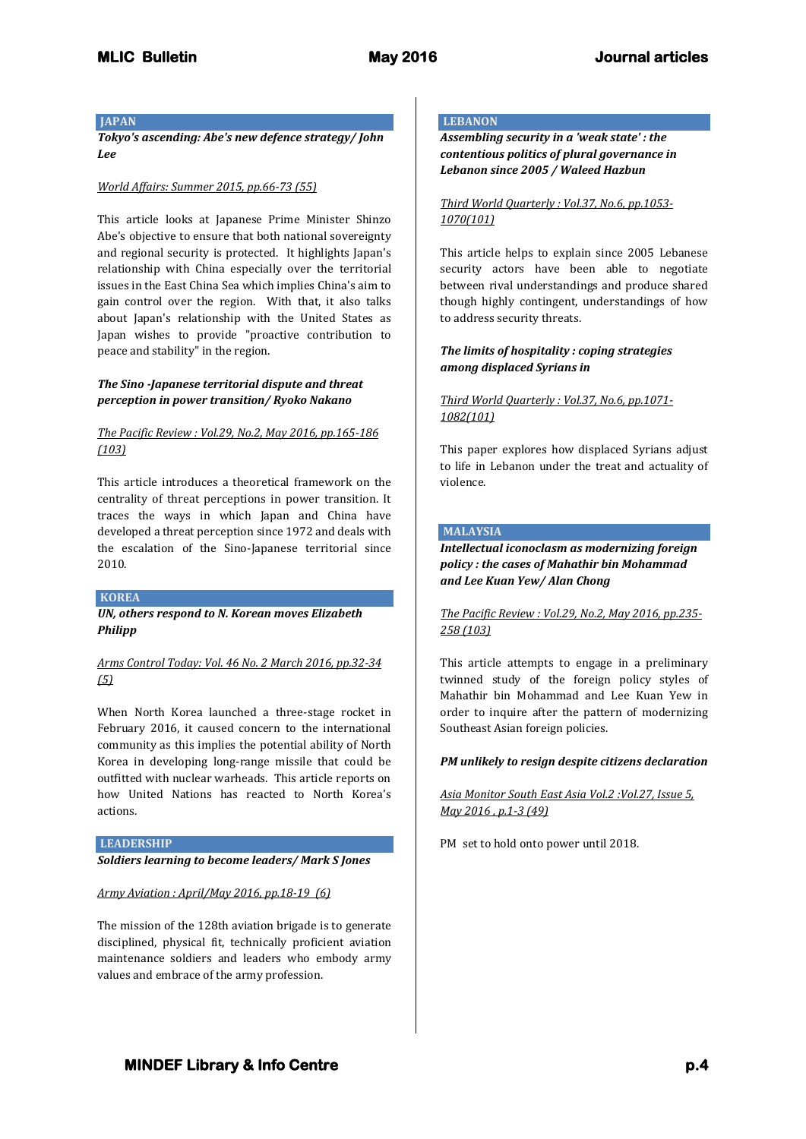#### **JAPAN**

*Tokyo's ascending: Abe's new defence strategy/ John Lee*

#### *World Affairs: Summer 2015, pp.66-73 (55)*

This article looks at Japanese Prime Minister Shinzo Abe's objective to ensure that both national sovereignty and regional security is protected. It highlights Japan's relationship with China especially over the territorial issues in the East China Sea which implies China's aim to gain control over the region. With that, it also talks about Japan's relationship with the United States as Japan wishes to provide "proactive contribution to peace and stability" in the region.

## *The Sino -Japanese territorial dispute and threat perception in power transition/ Ryoko Nakano*

## *The Pacific Review : Vol.29, No.2, May 2016, pp.165-186 (103)*

This article introduces a theoretical framework on the centrality of threat perceptions in power transition. It traces the ways in which Japan and China have developed a threat perception since 1972 and deals with the escalation of the Sino-Japanese territorial since 2010.

#### **KOREA**

## *UN, others respond to N. Korean moves Elizabeth Philipp*

*Arms Control Today: Vol. 46 No. 2 March 2016, pp.32-34 (5)*

When North Korea launched a three-stage rocket in February 2016, it caused concern to the international community as this implies the potential ability of North Korea in developing long-range missile that could be outfitted with nuclear warheads. This article reports on how United Nations has reacted to North Korea's actions.

**LEADERSHIP** 

*Soldiers learning to become leaders/ Mark S Jones*

#### *Army Aviation : April/May 2016, pp.18-19 (6)*

The mission of the 128th aviation brigade is to generate disciplined, physical fit, technically proficient aviation maintenance soldiers and leaders who embody army values and embrace of the army profession.

## **LEBANON**

*Assembling security in a 'weak state' : the contentious politics of plural governance in Lebanon since 2005 / Waleed Hazbun*

#### *Third World Quarterly : Vol.37, No.6, pp.1053- 1070(101)*

This article helps to explain since 2005 Lebanese security actors have been able to negotiate between rival understandings and produce shared though highly contingent, understandings of how to address security threats.

## *The limits of hospitality : coping strategies among displaced Syrians in*

## *Third World Quarterly : Vol.37, No.6, pp.1071- 1082(101)*

This paper explores how displaced Syrians adjust to life in Lebanon under the treat and actuality of violence.

## **MALAYSIA**

## *Intellectual iconoclasm as modernizing foreign policy : the cases of Mahathir bin Mohammad and Lee Kuan Yew/ Alan Chong*

## *The Pacific Review : Vol.29, No.2, May 2016, pp.235- 258 (103)*

This article attempts to engage in a preliminary twinned study of the foreign policy styles of Mahathir bin Mohammad and Lee Kuan Yew in order to inquire after the pattern of modernizing Southeast Asian foreign policies.

## *PM unlikely to resign despite citizens declaration*

## *Asia Monitor South East Asia Vol.2 :Vol.27, Issue 5, May 2016 , p.1-3 (49)*

PM set to hold onto power until 2018.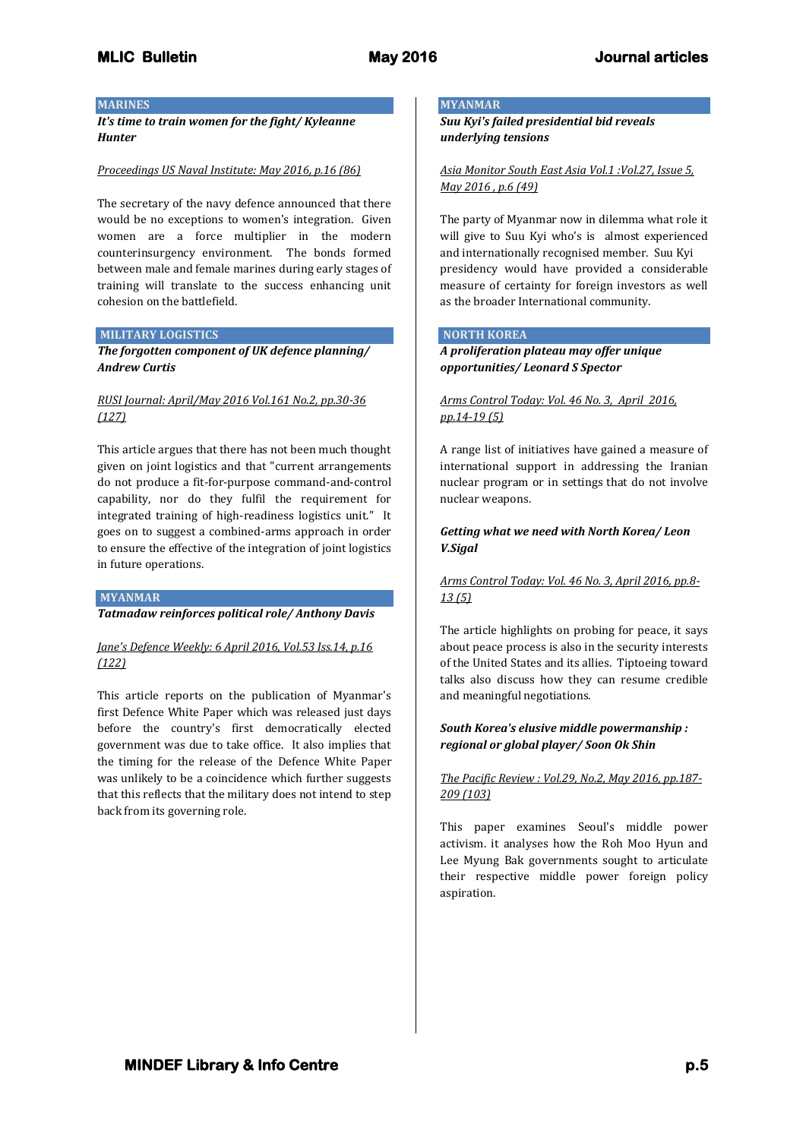#### **MARINES**

*It's time to train women for the fight/ Kyleanne Hunter*

#### *Proceedings US Naval Institute: May 2016, p.16 (86)*

The secretary of the navy defence announced that there would be no exceptions to women's integration. Given women are a force multiplier in the modern counterinsurgency environment. The bonds formed between male and female marines during early stages of training will translate to the success enhancing unit cohesion on the battlefield.

#### **MILITARY LOGISTICS**

*The forgotten component of UK defence planning/ Andrew Curtis*

## *RUSI Journal: April/May 2016 Vol.161 No.2, pp.30-36 (127)*

This article argues that there has not been much thought given on joint logistics and that "current arrangements do not produce a fit-for-purpose command-and-control capability, nor do they fulfil the requirement for integrated training of high-readiness logistics unit." It goes on to suggest a combined-arms approach in order to ensure the effective of the integration of joint logistics in future operations.

#### **MYANMAR**

*Tatmadaw reinforces political role/ Anthony Davis*

#### *Jane's Defence Weekly: 6 April 2016, Vol.53 Iss.14, p.16 (122)*

This article reports on the publication of Myanmar's first Defence White Paper which was released just days before the country's first democratically elected government was due to take office. It also implies that the timing for the release of the Defence White Paper was unlikely to be a coincidence which further suggests that this reflects that the military does not intend to step back from its governing role.

#### **MYANMAR**

*Suu Kyi's failed presidential bid reveals underlying tensions*

*Asia Monitor South East Asia Vol.1 :Vol.27, Issue 5, May 2016 , p.6 (49)*

The party of Myanmar now in dilemma what role it will give to Suu Kyi who's is almost experienced and internationally recognised member. Suu Kyi presidency would have provided a considerable measure of certainty for foreign investors as well as the broader International community.

## **NORTH KOREA**

*A proliferation plateau may offer unique opportunities/ Leonard S Spector*

## *Arms Control Today: Vol. 46 No. 3, April 2016, pp.14-19 (5)*

A range list of initiatives have gained a measure of international support in addressing the Iranian nuclear program or in settings that do not involve nuclear weapons.

## *Getting what we need with North Korea/ Leon V.Sigal*

## *Arms Control Today: Vol. 46 No. 3, April 2016, pp.8- 13 (5)*

The article highlights on probing for peace, it says about peace process is also in the security interests of the United States and its allies. Tiptoeing toward talks also discuss how they can resume credible and meaningful negotiations.

## *South Korea's elusive middle powermanship : regional or global player/ Soon Ok Shin*

## *The Pacific Review : Vol.29, No.2, May 2016, pp.187- 209 (103)*

This paper examines Seoul's middle power activism. it analyses how the Roh Moo Hyun and Lee Myung Bak governments sought to articulate their respective middle power foreign policy aspiration.